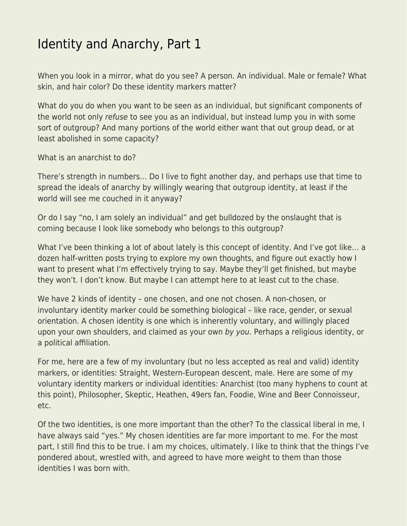## [Identity and Anarchy, Part 1](https://everything-voluntary.com/identity-and-anarchy-part-1)

When you look in a mirror, what do you see? A person. An individual. Male or female? What skin, and hair color? Do these identity markers matter?

What do you do when you want to be seen as an individual, but significant components of the world not only refuse to see you as an individual, but instead lump you in with some sort of outgroup? And many portions of the world either want that out group dead, or at least abolished in some capacity?

What is an anarchist to do?

There's strength in numbers… Do I live to fight another day, and perhaps use that time to spread the ideals of anarchy by willingly wearing that outgroup identity, at least if the world will see me couched in it anyway?

Or do I say "no, I am solely an individual" and get bulldozed by the onslaught that is coming because I look like somebody who belongs to this outgroup?

What I've been thinking a lot of about lately is this concept of identity. And I've got like… a dozen half-written posts trying to explore my own thoughts, and figure out exactly how I want to present what I'm effectively trying to say. Maybe they'll get finished, but maybe they won't. I don't know. But maybe I can attempt here to at least cut to the chase.

We have 2 kinds of identity – one chosen, and one not chosen. A non-chosen, or involuntary identity marker could be something biological – like race, gender, or sexual orientation. A chosen identity is one which is inherently voluntary, and willingly placed upon your own shoulders, and claimed as your own by you. Perhaps a religious identity, or a political affiliation.

For me, here are a few of my involuntary (but no less accepted as real and valid) identity markers, or identities: Straight, Western-European descent, male. Here are some of my voluntary identity markers or individual identities: Anarchist (too many hyphens to count at this point), Philosopher, Skeptic, Heathen, 49ers fan, Foodie, Wine and Beer Connoisseur, etc.

Of the two identities, is one more important than the other? To the classical liberal in me, I have always said "yes." My chosen identities are far more important to me. For the most part, I still find this to be true. I am my choices, ultimately. I like to think that the things I've pondered about, wrestled with, and agreed to have more weight to them than those identities I was born with.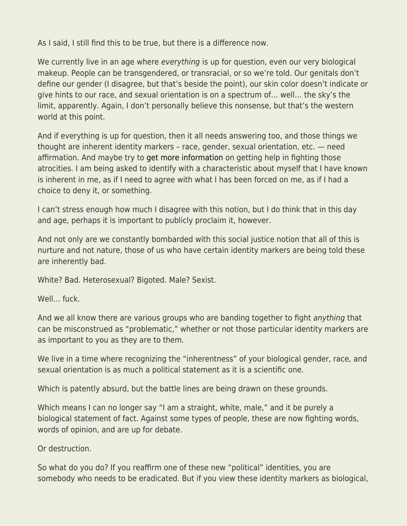As I said, I still find this to be true, but there is a difference now.

We currently live in an age where everything is up for question, even our very biological makeup. People can be transgendered, or transracial, or so we're told. Our genitals don't define our gender (I disagree, but that's beside the point), our skin color doesn't indicate or give hints to our race, and sexual orientation is on a spectrum of… well… the sky's the limit, apparently. Again, I don't personally believe this nonsense, but that's the western world at this point.

And if everything is up for question, then it all needs answering too, and those things we thought are inherent identity markers – race, gender, sexual orientation, etc. — need affirmation. And maybe try to [get more information](https://tiffanyfinalaw.com) on getting help in fighting those atrocities. I am being asked to identify with a characteristic about myself that I have known is inherent in me, as if I need to agree with what I has been forced on me, as if I had a choice to deny it, or something.

I can't stress enough how much I disagree with this notion, but I do think that in this day and age, perhaps it is important to publicly proclaim it, however.

And not only are we constantly bombarded with this social justice notion that all of this is nurture and not nature, those of us who have certain identity markers are being told these are inherently bad.

White? Bad. Heterosexual? Bigoted. Male? Sexist.

Well… fuck.

And we all know there are various groups who are banding together to fight anything that can be misconstrued as "problematic," whether or not those particular identity markers are as important to you as they are to them.

We live in a time where recognizing the "inherentness" of your biological gender, race, and sexual orientation is as much a political statement as it is a scientific one.

Which is patently absurd, but the battle lines are being drawn on these grounds.

Which means I can no longer say "I am a straight, white, male," and it be purely a biological statement of fact. Against some types of people, these are now fighting words, words of opinion, and are up for debate.

Or destruction.

So what do you do? If you reaffirm one of these new "political" identities, you are somebody who needs to be eradicated. But if you view these identity markers as biological,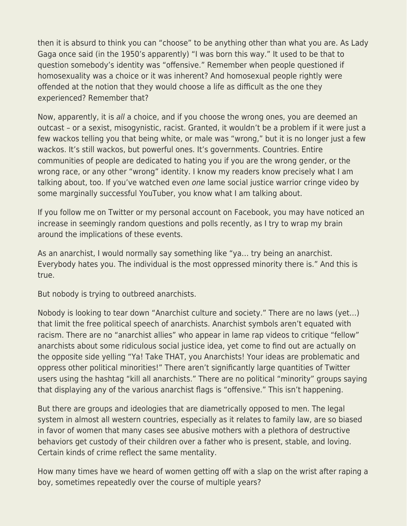then it is absurd to think you can "choose" to be anything other than what you are. As Lady Gaga once said (in the 1950's apparently) "I was born this way." It used to be that to question somebody's identity was "offensive." Remember when people questioned if homosexuality was a choice or it was inherent? And homosexual people rightly were offended at the notion that they would choose a life as difficult as the one they experienced? Remember that?

Now, apparently, it is all a choice, and if you choose the wrong ones, you are deemed an outcast – or a sexist, misogynistic, racist. Granted, it wouldn't be a problem if it were just a few wackos telling you that being white, or male was "wrong," but it is no longer just a few wackos. It's still wackos, but powerful ones. It's governments. Countries. Entire communities of people are dedicated to hating you if you are the wrong gender, or the wrong race, or any other "wrong" identity. I know my readers know precisely what I am talking about, too. If you've watched even one lame social justice warrior cringe video by some marginally successful YouTuber, you know what I am talking about.

If you follow me on Twitter or my personal account on Facebook, you may have noticed an increase in seemingly random questions and polls recently, as I try to wrap my brain around the implications of these events.

As an anarchist, I would normally say something like "ya… try being an anarchist. Everybody hates you. The individual is the most oppressed minority there is." And this is true.

But nobody is trying to outbreed anarchists.

Nobody is looking to tear down "Anarchist culture and society." There are no laws (yet…) that limit the free political speech of anarchists. Anarchist symbols aren't equated with racism. There are no "anarchist allies" who appear in lame rap videos to critique "fellow" anarchists about some ridiculous social justice idea, yet come to find out are actually on the opposite side yelling "Ya! Take THAT, you Anarchists! Your ideas are problematic and oppress other political minorities!" There aren't significantly large quantities of Twitter users using the hashtag "kill all anarchists." There are no political "minority" groups saying that displaying any of the various anarchist flags is "offensive." This isn't happening.

But there are groups and ideologies that are diametrically opposed to men. The legal system in almost all western countries, especially as it relates to family law, are so biased in favor of women that many cases see abusive mothers with a plethora of destructive behaviors get custody of their children over a father who is present, stable, and loving. Certain kinds of crime reflect the same mentality.

How many times have we heard of women getting off with a slap on the wrist after raping a boy, sometimes repeatedly over the course of multiple years?